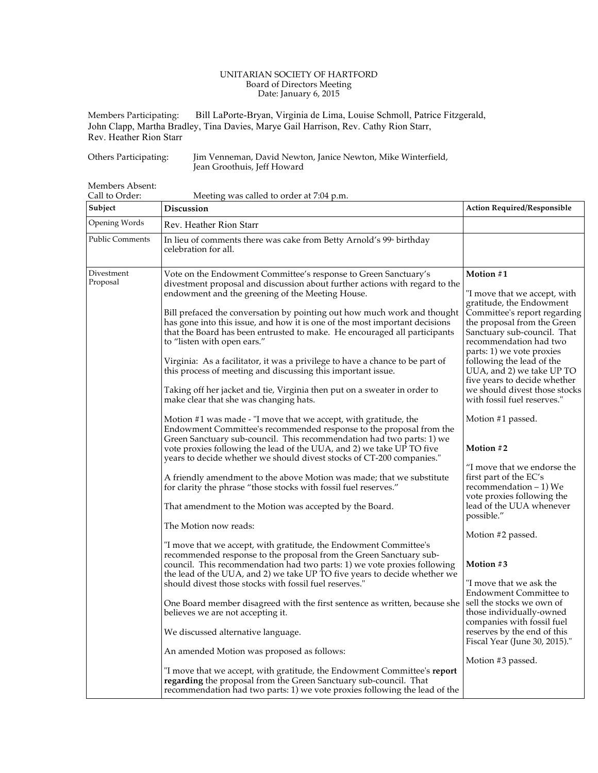## UNITARIAN SOCIETY OF HARTFORD Board of Directors Meeting Date: January 6, 2015

Members Participating: Bill LaPorte-Bryan, Virginia de Lima, Louise Schmoll, Patrice Fitzgerald, John Clapp, Martha Bradley, Tina Davies, Marye Gail Harrison, Rev. Cathy Rion Starr, Rev. Heather Rion Starr

Others Participating: Jim Venneman, David Newton, Janice Newton, Mike Winterfield, Jean Groothuis, Jeff Howard

Members Absent:

| Call to Order:         | Meeting was called to order at 7:04 p.m.                                                                                                                                                                                                                                                                                                                                                                                                                                                                                                                                                                                                                                                                                                                                                                                                                                                                                                                                                                                                                                                                                                                                                                                                                                                                                                                                                                                                                                                                                                                                                                                                                                                                                                                                                                                                                                                                                                                                                                                                                                                                                                                     |                                                                                                                                                                                                                                                                                                                                                                                                                                                                                                                                                                                                                                                                                                                                                                                                                                                             |
|------------------------|--------------------------------------------------------------------------------------------------------------------------------------------------------------------------------------------------------------------------------------------------------------------------------------------------------------------------------------------------------------------------------------------------------------------------------------------------------------------------------------------------------------------------------------------------------------------------------------------------------------------------------------------------------------------------------------------------------------------------------------------------------------------------------------------------------------------------------------------------------------------------------------------------------------------------------------------------------------------------------------------------------------------------------------------------------------------------------------------------------------------------------------------------------------------------------------------------------------------------------------------------------------------------------------------------------------------------------------------------------------------------------------------------------------------------------------------------------------------------------------------------------------------------------------------------------------------------------------------------------------------------------------------------------------------------------------------------------------------------------------------------------------------------------------------------------------------------------------------------------------------------------------------------------------------------------------------------------------------------------------------------------------------------------------------------------------------------------------------------------------------------------------------------------------|-------------------------------------------------------------------------------------------------------------------------------------------------------------------------------------------------------------------------------------------------------------------------------------------------------------------------------------------------------------------------------------------------------------------------------------------------------------------------------------------------------------------------------------------------------------------------------------------------------------------------------------------------------------------------------------------------------------------------------------------------------------------------------------------------------------------------------------------------------------|
| Subject                | <b>Discussion</b>                                                                                                                                                                                                                                                                                                                                                                                                                                                                                                                                                                                                                                                                                                                                                                                                                                                                                                                                                                                                                                                                                                                                                                                                                                                                                                                                                                                                                                                                                                                                                                                                                                                                                                                                                                                                                                                                                                                                                                                                                                                                                                                                            | <b>Action Required/Responsible</b>                                                                                                                                                                                                                                                                                                                                                                                                                                                                                                                                                                                                                                                                                                                                                                                                                          |
| Opening Words          | Rev. Heather Rion Starr                                                                                                                                                                                                                                                                                                                                                                                                                                                                                                                                                                                                                                                                                                                                                                                                                                                                                                                                                                                                                                                                                                                                                                                                                                                                                                                                                                                                                                                                                                                                                                                                                                                                                                                                                                                                                                                                                                                                                                                                                                                                                                                                      |                                                                                                                                                                                                                                                                                                                                                                                                                                                                                                                                                                                                                                                                                                                                                                                                                                                             |
| <b>Public Comments</b> | In lieu of comments there was cake from Betty Arnold's 99 <sup>th</sup> birthday<br>celebration for all.                                                                                                                                                                                                                                                                                                                                                                                                                                                                                                                                                                                                                                                                                                                                                                                                                                                                                                                                                                                                                                                                                                                                                                                                                                                                                                                                                                                                                                                                                                                                                                                                                                                                                                                                                                                                                                                                                                                                                                                                                                                     |                                                                                                                                                                                                                                                                                                                                                                                                                                                                                                                                                                                                                                                                                                                                                                                                                                                             |
| Divestment<br>Proposal | Vote on the Endowment Committee's response to Green Sanctuary's<br>divestment proposal and discussion about further actions with regard to the<br>endowment and the greening of the Meeting House.<br>Bill prefaced the conversation by pointing out how much work and thought<br>has gone into this issue, and how it is one of the most important decisions<br>that the Board has been entrusted to make. He encouraged all participants<br>to "listen with open ears."<br>Virginia: As a facilitator, it was a privilege to have a chance to be part of<br>this process of meeting and discussing this important issue.<br>Taking off her jacket and tie, Virginia then put on a sweater in order to<br>make clear that she was changing hats.<br>Motion #1 was made - "I move that we accept, with gratitude, the<br>Endowment Committee's recommended response to the proposal from the<br>Green Sanctuary sub-council. This recommendation had two parts: 1) we<br>vote proxies following the lead of the UUA, and 2) we take UP TO five<br>years to decide whether we should divest stocks of CT-200 companies."<br>A friendly amendment to the above Motion was made; that we substitute<br>for clarity the phrase "those stocks with fossil fuel reserves."<br>That amendment to the Motion was accepted by the Board.<br>The Motion now reads:<br>"I move that we accept, with gratitude, the Endowment Committee's<br>recommended response to the proposal from the Green Sanctuary sub-<br>council. This recommendation had two parts: 1) we vote proxies following<br>the lead of the UUA, and 2) we take UP TO five years to decide whether we<br>should divest those stocks with fossil fuel reserves."<br>One Board member disagreed with the first sentence as written, because she<br>believes we are not accepting it.<br>We discussed alternative language.<br>An amended Motion was proposed as follows:<br>"I move that we accept, with gratitude, the Endowment Committee's report<br>regarding the proposal from the Green Sanctuary sub-council. That<br>recommendation had two parts: 1) we vote proxies following the lead of the | Motion #1<br>"I move that we accept, with<br>gratitude, the Endowment<br>Committee's report regarding<br>the proposal from the Green<br>Sanctuary sub-council. That<br>recommendation had two<br>parts: 1) we vote proxies<br>following the lead of the<br>UUA, and 2) we take UP TO<br>five years to decide whether<br>we should divest those stocks<br>with fossil fuel reserves."<br>Motion #1 passed.<br>Motion #2<br>"I move that we endorse the<br>first part of the EC's<br>recommendation – 1) We<br>vote proxies following the<br>lead of the UUA whenever<br>possible."<br>Motion #2 passed.<br>Motion #3<br>"I move that we ask the<br><b>Endowment Committee to</b><br>sell the stocks we own of<br>those individually-owned<br>companies with fossil fuel<br>reserves by the end of this<br>Fiscal Year (June 30, 2015)."<br>Motion #3 passed. |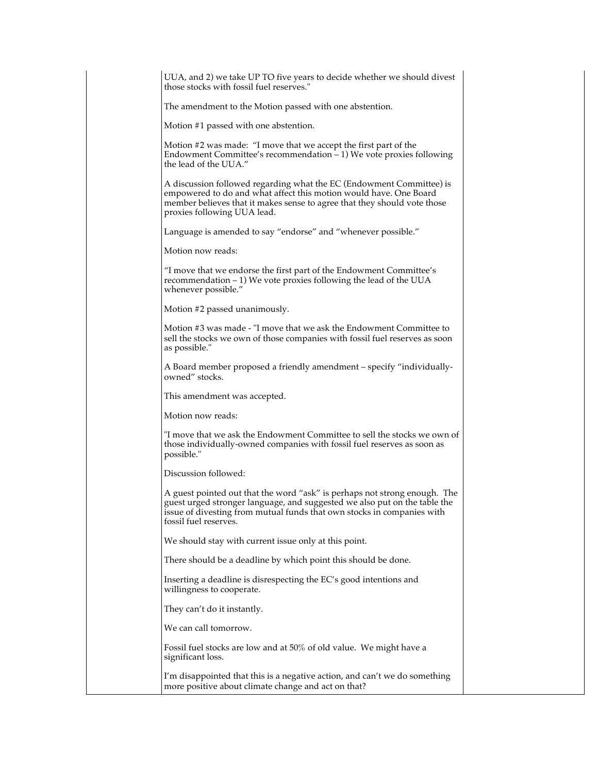| UUA, and 2) we take UP TO five years to decide whether we should divest<br>those stocks with fossil fuel reserves."                                                                                                                                       |  |
|-----------------------------------------------------------------------------------------------------------------------------------------------------------------------------------------------------------------------------------------------------------|--|
| The amendment to the Motion passed with one abstention.                                                                                                                                                                                                   |  |
| Motion #1 passed with one abstention.                                                                                                                                                                                                                     |  |
| Motion #2 was made: "I move that we accept the first part of the<br>Endowment Committee's recommendation - 1) We vote proxies following<br>the lead of the UUA."                                                                                          |  |
| A discussion followed regarding what the EC (Endowment Committee) is<br>empowered to do and what affect this motion would have. One Board<br>member believes that it makes sense to agree that they should vote those<br>proxies following UUA lead.      |  |
| Language is amended to say "endorse" and "whenever possible."                                                                                                                                                                                             |  |
| Motion now reads:                                                                                                                                                                                                                                         |  |
| "I move that we endorse the first part of the Endowment Committee's<br>recommendation $-1$ ) We vote proxies following the lead of the UUA<br>whenever possible."                                                                                         |  |
| Motion #2 passed unanimously.                                                                                                                                                                                                                             |  |
| Motion #3 was made - "I move that we ask the Endowment Committee to<br>sell the stocks we own of those companies with fossil fuel reserves as soon<br>as possible."                                                                                       |  |
| A Board member proposed a friendly amendment - specify "individually-<br>owned" stocks.                                                                                                                                                                   |  |
| This amendment was accepted.                                                                                                                                                                                                                              |  |
| Motion now reads:                                                                                                                                                                                                                                         |  |
| "I move that we ask the Endowment Committee to sell the stocks we own of<br>those individually-owned companies with fossil fuel reserves as soon as<br>possible."                                                                                         |  |
| Discussion followed:                                                                                                                                                                                                                                      |  |
| A guest pointed out that the word "ask" is perhaps not strong enough. The<br>guest urged stronger language, and suggested we also put on the table the<br>issue of divesting from mutual funds that own stocks in companies with<br>fossil fuel reserves. |  |
| We should stay with current issue only at this point.                                                                                                                                                                                                     |  |
| There should be a deadline by which point this should be done.                                                                                                                                                                                            |  |
| Inserting a deadline is disrespecting the EC's good intentions and<br>willingness to cooperate.                                                                                                                                                           |  |
| They can't do it instantly.                                                                                                                                                                                                                               |  |
| We can call tomorrow.                                                                                                                                                                                                                                     |  |
| Fossil fuel stocks are low and at 50% of old value. We might have a<br>significant loss.                                                                                                                                                                  |  |
| I'm disappointed that this is a negative action, and can't we do something<br>more positive about climate change and act on that?                                                                                                                         |  |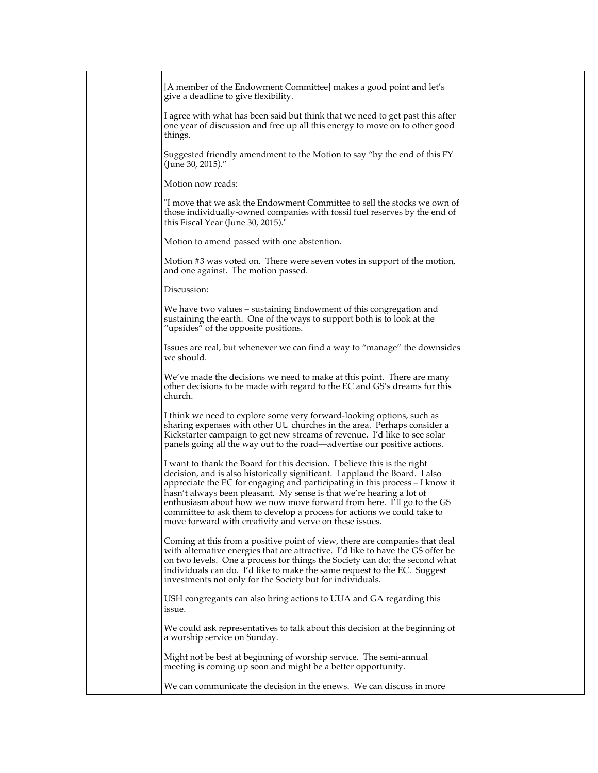[A member of the Endowment Committee] makes a good point and let's give a deadline to give flexibility.

I agree with what has been said but think that we need to get past this after one year of discussion and free up all this energy to move on to other good things.

Suggested friendly amendment to the Motion to say "by the end of this FY (June 30, 2015)."

Motion now reads:

"I move that we ask the Endowment Committee to sell the stocks we own of those individually-owned companies with fossil fuel reserves by the end of this Fiscal Year (June 30, 2015)."

Motion to amend passed with one abstention.

Motion #3 was voted on. There were seven votes in support of the motion, and one against. The motion passed.

Discussion:

We have two values – sustaining Endowment of this congregation and sustaining the earth. One of the ways to support both is to look at the "upsides" of the opposite positions.

Issues are real, but whenever we can find a way to "manage" the downsides we should.

We've made the decisions we need to make at this point. There are many other decisions to be made with regard to the EC and GS's dreams for this church.

I think we need to explore some very forward-looking options, such as sharing expenses with other UU churches in the area. Perhaps consider a Kickstarter campaign to get new streams of revenue. I'd like to see solar panels going all the way out to the road—advertise our positive actions.

I want to thank the Board for this decision. I believe this is the right decision, and is also historically significant. I applaud the Board. I also appreciate the EC for engaging and participating in this process – I know it hasn't always been pleasant. My sense is that we're hearing a lot of enthusiasm about how we now move forward from here. I'll go to the GS committee to ask them to develop a process for actions we could take to move forward with creativity and verve on these issues.

Coming at this from a positive point of view, there are companies that deal with alternative energies that are attractive. I'd like to have the GS offer be on two levels. One a process for things the Society can do; the second what individuals can do. I'd like to make the same request to the EC. Suggest investments not only for the Society but for individuals.

USH congregants can also bring actions to UUA and GA regarding this issue.

We could ask representatives to talk about this decision at the beginning of a worship service on Sunday.

Might not be best at beginning of worship service. The semi-annual meeting is coming up soon and might be a better opportunity.

We can communicate the decision in the enews. We can discuss in more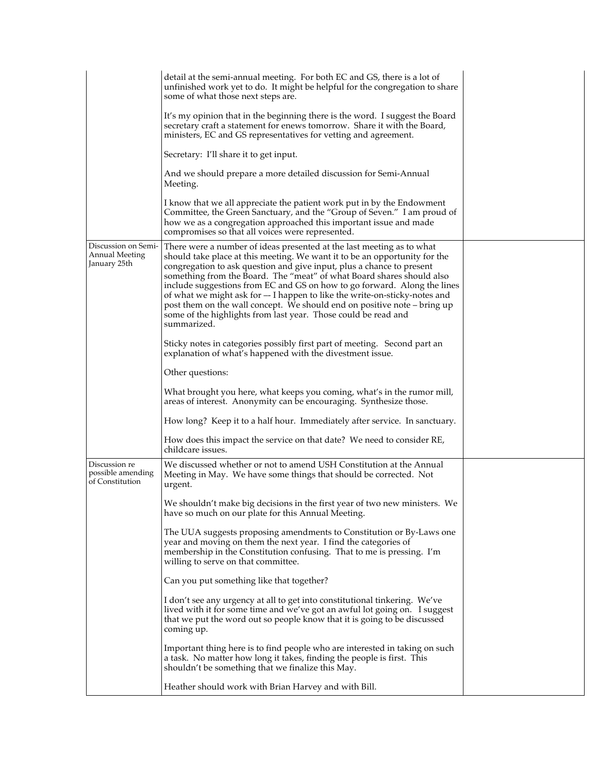|                                                              | detail at the semi-annual meeting. For both EC and GS, there is a lot of<br>unfinished work yet to do. It might be helpful for the congregation to share<br>some of what those next steps are.                                                                                                                                                                                                                                                                                                                                                                                                                               |  |
|--------------------------------------------------------------|------------------------------------------------------------------------------------------------------------------------------------------------------------------------------------------------------------------------------------------------------------------------------------------------------------------------------------------------------------------------------------------------------------------------------------------------------------------------------------------------------------------------------------------------------------------------------------------------------------------------------|--|
|                                                              | It's my opinion that in the beginning there is the word. I suggest the Board<br>secretary craft a statement for enews tomorrow. Share it with the Board,<br>ministers, EC and GS representatives for vetting and agreement.                                                                                                                                                                                                                                                                                                                                                                                                  |  |
|                                                              | Secretary: I'll share it to get input.                                                                                                                                                                                                                                                                                                                                                                                                                                                                                                                                                                                       |  |
|                                                              | And we should prepare a more detailed discussion for Semi-Annual<br>Meeting.                                                                                                                                                                                                                                                                                                                                                                                                                                                                                                                                                 |  |
|                                                              | I know that we all appreciate the patient work put in by the Endowment<br>Committee, the Green Sanctuary, and the "Group of Seven." I am proud of<br>how we as a congregation approached this important issue and made<br>compromises so that all voices were represented.                                                                                                                                                                                                                                                                                                                                                   |  |
| Discussion on Semi-<br><b>Annual Meeting</b><br>January 25th | There were a number of ideas presented at the last meeting as to what<br>should take place at this meeting. We want it to be an opportunity for the<br>congregation to ask question and give input, plus a chance to present<br>something from the Board. The "meat" of what Board shares should also<br>include suggestions from EC and GS on how to go forward. Along the lines<br>of what we might ask for -- I happen to like the write-on-sticky-notes and<br>post them on the wall concept. We should end on positive note – bring up<br>some of the highlights from last year. Those could be read and<br>summarized. |  |
|                                                              | Sticky notes in categories possibly first part of meeting. Second part an<br>explanation of what's happened with the divestment issue.                                                                                                                                                                                                                                                                                                                                                                                                                                                                                       |  |
|                                                              | Other questions:                                                                                                                                                                                                                                                                                                                                                                                                                                                                                                                                                                                                             |  |
|                                                              | What brought you here, what keeps you coming, what's in the rumor mill,<br>areas of interest. Anonymity can be encouraging. Synthesize those.                                                                                                                                                                                                                                                                                                                                                                                                                                                                                |  |
|                                                              | How long? Keep it to a half hour. Immediately after service. In sanctuary.                                                                                                                                                                                                                                                                                                                                                                                                                                                                                                                                                   |  |
|                                                              | How does this impact the service on that date? We need to consider RE,<br>childcare issues.                                                                                                                                                                                                                                                                                                                                                                                                                                                                                                                                  |  |
| Discussion re<br>possible amending<br>of Constitution        | We discussed whether or not to amend USH Constitution at the Annual<br>Meeting in May. We have some things that should be corrected. Not<br>urgent.                                                                                                                                                                                                                                                                                                                                                                                                                                                                          |  |
|                                                              | We shouldn't make big decisions in the first year of two new ministers. We<br>have so much on our plate for this Annual Meeting.                                                                                                                                                                                                                                                                                                                                                                                                                                                                                             |  |
|                                                              | The UUA suggests proposing amendments to Constitution or By-Laws one<br>year and moving on them the next year. I find the categories of<br>membership in the Constitution confusing. That to me is pressing. I'm<br>willing to serve on that committee.                                                                                                                                                                                                                                                                                                                                                                      |  |
|                                                              | Can you put something like that together?                                                                                                                                                                                                                                                                                                                                                                                                                                                                                                                                                                                    |  |
|                                                              | I don't see any urgency at all to get into constitutional tinkering. We've<br>lived with it for some time and we've got an awful lot going on. I suggest<br>that we put the word out so people know that it is going to be discussed<br>coming up.                                                                                                                                                                                                                                                                                                                                                                           |  |
|                                                              | Important thing here is to find people who are interested in taking on such<br>a task. No matter how long it takes, finding the people is first. This<br>shouldn't be something that we finalize this May.                                                                                                                                                                                                                                                                                                                                                                                                                   |  |
|                                                              | Heather should work with Brian Harvey and with Bill.                                                                                                                                                                                                                                                                                                                                                                                                                                                                                                                                                                         |  |